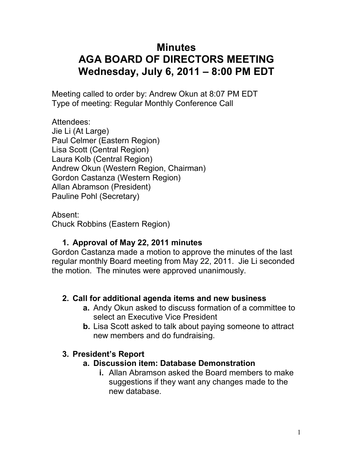# **Minutes AGA BOARD OF DIRECTORS MEETING Wednesday, July 6, 2011 – 8:00 PM EDT**

Meeting called to order by: Andrew Okun at 8:07 PM EDT Type of meeting: Regular Monthly Conference Call

Attendees: Jie Li (At Large) Paul Celmer (Eastern Region) Lisa Scott (Central Region) Laura Kolb (Central Region) Andrew Okun (Western Region, Chairman) Gordon Castanza (Western Region) Allan Abramson (President) Pauline Pohl (Secretary)

Absent: Chuck Robbins (Eastern Region)

# **1. Approval of May 22, 2011 minutes**

Gordon Castanza made a motion to approve the minutes of the last regular monthly Board meeting from May 22, 2011. Jie Li seconded the motion. The minutes were approved unanimously.

#### **2. Call for additional agenda items and new business**

- **a.** Andy Okun asked to discuss formation of a committee to select an Executive Vice President
- **b.** Lisa Scott asked to talk about paying someone to attract new members and do fundraising.

#### **3. President's Report**

#### **a. Discussion item: Database Demonstration**

**i.** Allan Abramson asked the Board members to make suggestions if they want any changes made to the new database.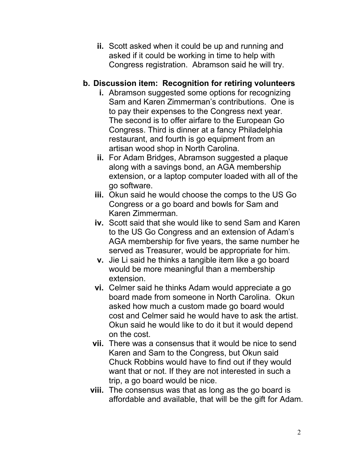**ii.** Scott asked when it could be up and running and asked if it could be working in time to help with Congress registration. Abramson said he will try.

#### **b. Discussion item: Recognition for retiring volunteers**

- **i.** Abramson suggested some options for recognizing Sam and Karen Zimmerman's contributions. One is to pay their expenses to the Congress next year. The second is to offer airfare to the European Go Congress. Third is dinner at a fancy Philadelphia restaurant, and fourth is go equipment from an artisan wood shop in North Carolina.
- **ii.** For Adam Bridges, Abramson suggested a plaque along with a savings bond, an AGA membership extension, or a laptop computer loaded with all of the go software.
- **iii.** Okun said he would choose the comps to the US Go Congress or a go board and bowls for Sam and Karen Zimmerman.
- **iv.** Scott said that she would like to send Sam and Karen to the US Go Congress and an extension of Adam's AGA membership for five years, the same number he served as Treasurer, would be appropriate for him.
- **v.** Jie Li said he thinks a tangible item like a go board would be more meaningful than a membership extension.
- **vi.** Celmer said he thinks Adam would appreciate a go board made from someone in North Carolina. Okun asked how much a custom made go board would cost and Celmer said he would have to ask the artist. Okun said he would like to do it but it would depend on the cost.
- **vii.** There was a consensus that it would be nice to send Karen and Sam to the Congress, but Okun said Chuck Robbins would have to find out if they would want that or not. If they are not interested in such a trip, a go board would be nice.
- **viii.** The consensus was that as long as the go board is affordable and available, that will be the gift for Adam.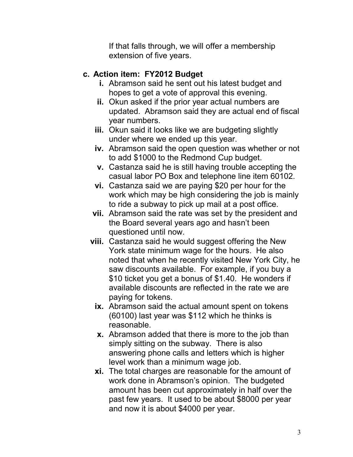If that falls through, we will offer a membership extension of five years.

# **c. Action item: FY2012 Budget**

- **i.** Abramson said he sent out his latest budget and hopes to get a vote of approval this evening.
- **ii.** Okun asked if the prior year actual numbers are updated. Abramson said they are actual end of fiscal year numbers.
- **iii.** Okun said it looks like we are budgeting slightly under where we ended up this year.
- **iv.** Abramson said the open question was whether or not to add \$1000 to the Redmond Cup budget.
- **v.** Castanza said he is still having trouble accepting the casual labor PO Box and telephone line item 60102.
- **vi.** Castanza said we are paying \$20 per hour for the work which may be high considering the job is mainly to ride a subway to pick up mail at a post office.
- **vii.** Abramson said the rate was set by the president and the Board several years ago and hasn't been questioned until now.
- **viii.** Castanza said he would suggest offering the New York state minimum wage for the hours. He also noted that when he recently visited New York City, he saw discounts available. For example, if you buy a \$10 ticket you get a bonus of \$1.40. He wonders if available discounts are reflected in the rate we are paying for tokens.
	- **ix.** Abramson said the actual amount spent on tokens (60100) last year was \$112 which he thinks is reasonable.
	- **x.** Abramson added that there is more to the job than simply sitting on the subway. There is also answering phone calls and letters which is higher level work than a minimum wage job.
	- **xi.** The total charges are reasonable for the amount of work done in Abramson's opinion. The budgeted amount has been cut approximately in half over the past few years. It used to be about \$8000 per year and now it is about \$4000 per year.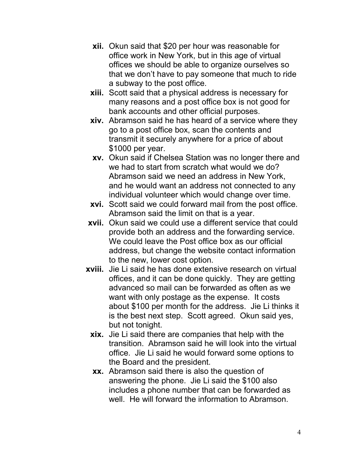- **xii.** Okun said that \$20 per hour was reasonable for office work in New York, but in this age of virtual offices we should be able to organize ourselves so that we don't have to pay someone that much to ride a subway to the post office.
- **xiii.** Scott said that a physical address is necessary for many reasons and a post office box is not good for bank accounts and other official purposes.
- **xiv.** Abramson said he has heard of a service where they go to a post office box, scan the contents and transmit it securely anywhere for a price of about \$1000 per year.
- **xv.** Okun said if Chelsea Station was no longer there and we had to start from scratch what would we do? Abramson said we need an address in New York, and he would want an address not connected to any individual volunteer which would change over time.
- **xvi.** Scott said we could forward mail from the post office. Abramson said the limit on that is a year.
- **xvii.** Okun said we could use a different service that could provide both an address and the forwarding service. We could leave the Post office box as our official address, but change the website contact information to the new, lower cost option.
- **xviii.** Jie Li said he has done extensive research on virtual offices, and it can be done quickly. They are getting advanced so mail can be forwarded as often as we want with only postage as the expense. It costs about \$100 per month for the address. Jie Li thinks it is the best next step. Scott agreed. Okun said yes, but not tonight.
	- **xix.** Jie Li said there are companies that help with the transition. Abramson said he will look into the virtual office. Jie Li said he would forward some options to the Board and the president.
	- **xx.** Abramson said there is also the question of answering the phone. Jie Li said the \$100 also includes a phone number that can be forwarded as well. He will forward the information to Abramson.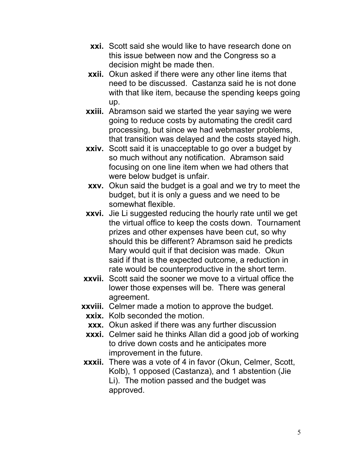- **xxi.** Scott said she would like to have research done on this issue between now and the Congress so a decision might be made then.
- **xxii.** Okun asked if there were any other line items that need to be discussed. Castanza said he is not done with that like item, because the spending keeps going up.
- **xxiii.** Abramson said we started the year saying we were going to reduce costs by automating the credit card processing, but since we had webmaster problems, that transition was delayed and the costs stayed high.
- **xxiv.** Scott said it is unacceptable to go over a budget by so much without any notification. Abramson said focusing on one line item when we had others that were below budget is unfair.
- **xxv.** Okun said the budget is a goal and we try to meet the budget, but it is only a guess and we need to be somewhat flexible.
- **xxvi.** Jie Li suggested reducing the hourly rate until we get the virtual office to keep the costs down. Tournament prizes and other expenses have been cut, so why should this be different? Abramson said he predicts Mary would quit if that decision was made. Okun said if that is the expected outcome, a reduction in rate would be counterproductive in the short term.
- **xxvii.** Scott said the sooner we move to a virtual office the lower those expenses will be. There was general agreement.
- **xxviii.** Celmer made a motion to approve the budget.
- **xxix.** Kolb seconded the motion.
- **xxx.** Okun asked if there was any further discussion
- **xxxi.** Celmer said he thinks Allan did a good job of working to drive down costs and he anticipates more improvement in the future.
- **xxxii.** There was a vote of 4 in favor (Okun, Celmer, Scott, Kolb), 1 opposed (Castanza), and 1 abstention (Jie Li). The motion passed and the budget was approved.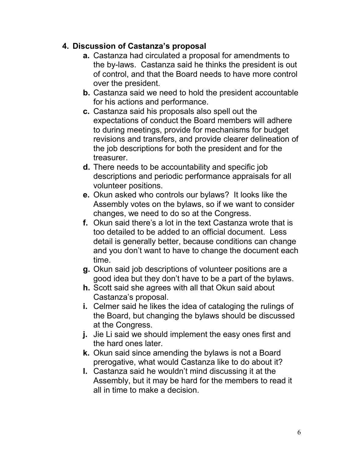#### **4. Discussion of Castanza's proposal**

- **a.** Castanza had circulated a proposal for amendments to the by-laws. Castanza said he thinks the president is out of control, and that the Board needs to have more control over the president.
- **b.** Castanza said we need to hold the president accountable for his actions and performance.
- **c.** Castanza said his proposals also spell out the expectations of conduct the Board members will adhere to during meetings, provide for mechanisms for budget revisions and transfers, and provide clearer delineation of the job descriptions for both the president and for the treasurer.
- **d.** There needs to be accountability and specific job descriptions and periodic performance appraisals for all volunteer positions.
- **e.** Okun asked who controls our bylaws? It looks like the Assembly votes on the bylaws, so if we want to consider changes, we need to do so at the Congress.
- **f.** Okun said there's a lot in the text Castanza wrote that is too detailed to be added to an official document. Less detail is generally better, because conditions can change and you don't want to have to change the document each time.
- **g.** Okun said job descriptions of volunteer positions are a good idea but they don't have to be a part of the bylaws.
- **h.** Scott said she agrees with all that Okun said about Castanza's proposal.
- **i.** Celmer said he likes the idea of cataloging the rulings of the Board, but changing the bylaws should be discussed at the Congress.
- **j.** Jie Li said we should implement the easy ones first and the hard ones later.
- **k.** Okun said since amending the bylaws is not a Board prerogative, what would Castanza like to do about it?
- **l.** Castanza said he wouldn't mind discussing it at the Assembly, but it may be hard for the members to read it all in time to make a decision.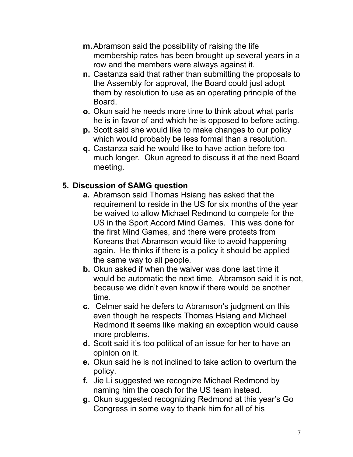- **m.** Abramson said the possibility of raising the life membership rates has been brought up several years in a row and the members were always against it.
- **n.** Castanza said that rather than submitting the proposals to the Assembly for approval, the Board could just adopt them by resolution to use as an operating principle of the Board.
- **o.** Okun said he needs more time to think about what parts he is in favor of and which he is opposed to before acting.
- **p.** Scott said she would like to make changes to our policy which would probably be less formal than a resolution.
- **q.** Castanza said he would like to have action before too much longer. Okun agreed to discuss it at the next Board meeting.

#### **5. Discussion of SAMG question**

- **a.** Abramson said Thomas Hsiang has asked that the requirement to reside in the US for six months of the year be waived to allow Michael Redmond to compete for the US in the Sport Accord Mind Games. This was done for the first Mind Games, and there were protests from Koreans that Abramson would like to avoid happening again. He thinks if there is a policy it should be applied the same way to all people.
- **b.** Okun asked if when the waiver was done last time it would be automatic the next time. Abramson said it is not, because we didn't even know if there would be another time.
- **c.** Celmer said he defers to Abramson's judgment on this even though he respects Thomas Hsiang and Michael Redmond it seems like making an exception would cause more problems.
- **d.** Scott said it's too political of an issue for her to have an opinion on it.
- **e.** Okun said he is not inclined to take action to overturn the policy.
- **f.** Jie Li suggested we recognize Michael Redmond by naming him the coach for the US team instead.
- **g.** Okun suggested recognizing Redmond at this year's Go Congress in some way to thank him for all of his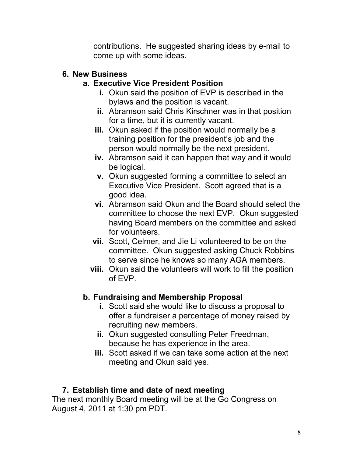contributions. He suggested sharing ideas by e-mail to come up with some ideas.

#### **6. New Business**

# **a. Executive Vice President Position**

- **i.** Okun said the position of EVP is described in the bylaws and the position is vacant.
- **ii.** Abramson said Chris Kirschner was in that position for a time, but it is currently vacant.
- **iii.** Okun asked if the position would normally be a training position for the president's job and the person would normally be the next president.
- **iv.** Abramson said it can happen that way and it would be logical.
- **v.** Okun suggested forming a committee to select an Executive Vice President. Scott agreed that is a good idea.
- **vi.** Abramson said Okun and the Board should select the committee to choose the next EVP. Okun suggested having Board members on the committee and asked for volunteers.
- **vii.** Scott, Celmer, and Jie Li volunteered to be on the committee. Okun suggested asking Chuck Robbins to serve since he knows so many AGA members.
- **viii.** Okun said the volunteers will work to fill the position of EVP.

# **b. Fundraising and Membership Proposal**

- **i.** Scott said she would like to discuss a proposal to offer a fundraiser a percentage of money raised by recruiting new members.
- **ii.** Okun suggested consulting Peter Freedman, because he has experience in the area.
- **iii.** Scott asked if we can take some action at the next meeting and Okun said yes.

# **7. Establish time and date of next meeting**

The next monthly Board meeting will be at the Go Congress on August 4, 2011 at 1:30 pm PDT.